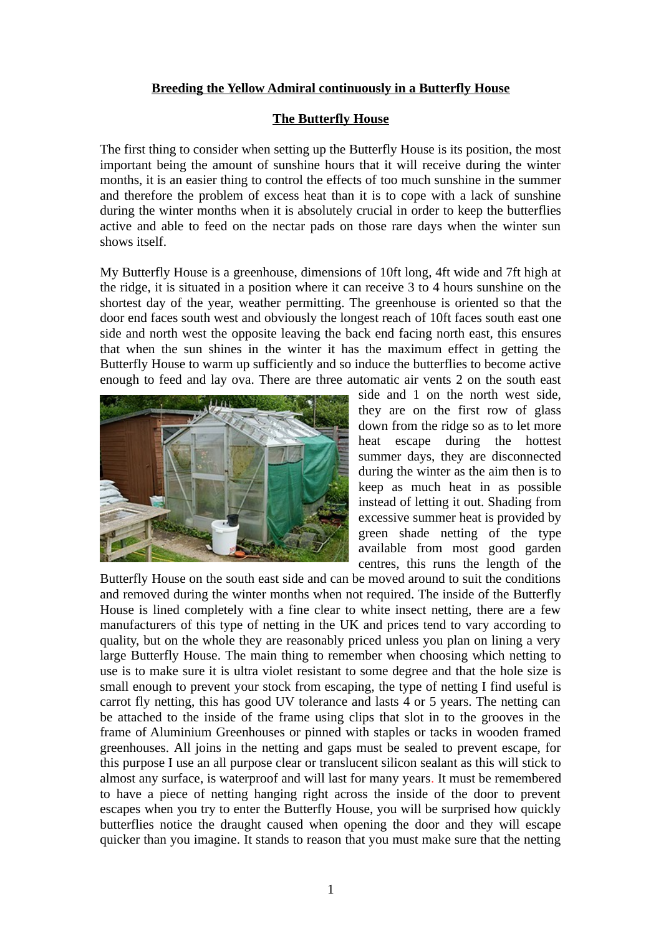# **Breeding the Yellow Admiral continuously in a Butterfly House**

## **The Butterfly House**

The first thing to consider when setting up the Butterfly House is its position, the most important being the amount of sunshine hours that it will receive during the winter months, it is an easier thing to control the effects of too much sunshine in the summer and therefore the problem of excess heat than it is to cope with a lack of sunshine during the winter months when it is absolutely crucial in order to keep the butterflies active and able to feed on the nectar pads on those rare days when the winter sun shows itself.

My Butterfly House is a greenhouse, dimensions of 10ft long, 4ft wide and 7ft high at the ridge, it is situated in a position where it can receive 3 to 4 hours sunshine on the shortest day of the year, weather permitting. The greenhouse is oriented so that the door end faces south west and obviously the longest reach of 10ft faces south east one side and north west the opposite leaving the back end facing north east, this ensures that when the sun shines in the winter it has the maximum effect in getting the Butterfly House to warm up sufficiently and so induce the butterflies to become active enough to feed and lay ova. There are three automatic air vents 2 on the south east



side and 1 on the north west side, they are on the first row of glass down from the ridge so as to let more heat escape during the hottest summer days, they are disconnected during the winter as the aim then is to keep as much heat in as possible instead of letting it out. Shading from excessive summer heat is provided by green shade netting of the type available from most good garden centres, this runs the length of the

Butterfly House on the south east side and can be moved around to suit the conditions and removed during the winter months when not required. The inside of the Butterfly House is lined completely with a fine clear to white insect netting, there are a few manufacturers of this type of netting in the UK and prices tend to vary according to quality, but on the whole they are reasonably priced unless you plan on lining a very large Butterfly House. The main thing to remember when choosing which netting to use is to make sure it is ultra violet resistant to some degree and that the hole size is small enough to prevent your stock from escaping, the type of netting I find useful is carrot fly netting, this has good UV tolerance and lasts 4 or 5 years. The netting can be attached to the inside of the frame using clips that slot in to the grooves in the frame of Aluminium Greenhouses or pinned with staples or tacks in wooden framed greenhouses. All joins in the netting and gaps must be sealed to prevent escape, for this purpose I use an all purpose clear or translucent silicon sealant as this will stick to almost any surface, is waterproof and will last for many years. It must be remembered to have a piece of netting hanging right across the inside of the door to prevent escapes when you try to enter the Butterfly House, you will be surprised how quickly butterflies notice the draught caused when opening the door and they will escape quicker than you imagine. It stands to reason that you must make sure that the netting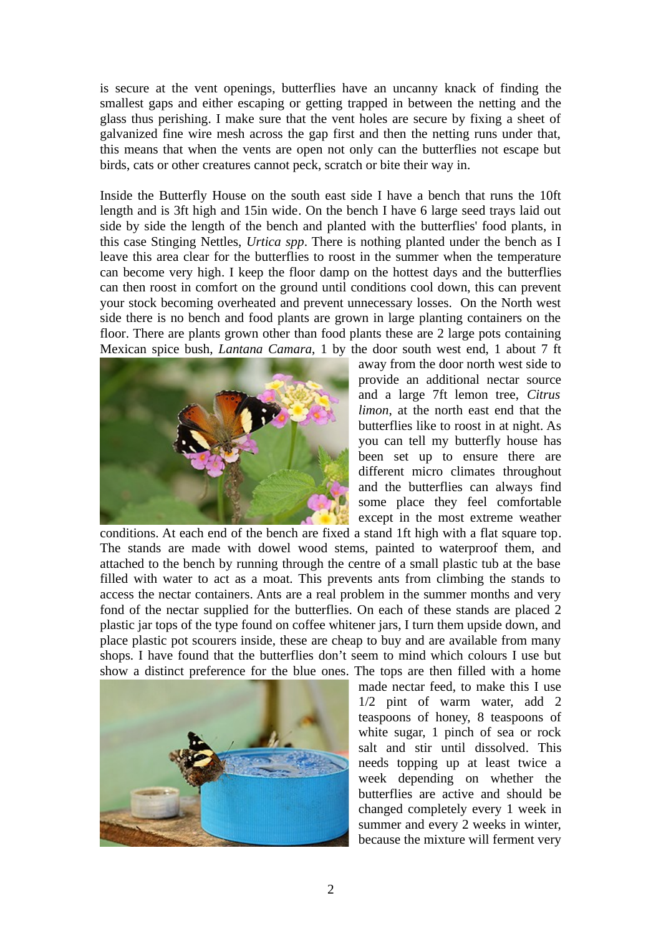is secure at the vent openings, butterflies have an uncanny knack of finding the smallest gaps and either escaping or getting trapped in between the netting and the glass thus perishing. I make sure that the vent holes are secure by fixing a sheet of galvanized fine wire mesh across the gap first and then the netting runs under that, this means that when the vents are open not only can the butterflies not escape but birds, cats or other creatures cannot peck, scratch or bite their way in.

Inside the Butterfly House on the south east side I have a bench that runs the 10ft length and is 3ft high and 15in wide. On the bench I have 6 large seed trays laid out side by side the length of the bench and planted with the butterflies' food plants, in this case Stinging Nettles, *Urtica spp*. There is nothing planted under the bench as I leave this area clear for the butterflies to roost in the summer when the temperature can become very high. I keep the floor damp on the hottest days and the butterflies can then roost in comfort on the ground until conditions cool down, this can prevent your stock becoming overheated and prevent unnecessary losses. On the North west side there is no bench and food plants are grown in large planting containers on the floor. There are plants grown other than food plants these are 2 large pots containing Mexican spice bush, *Lantana Camara*, 1 by the door south west end, 1 about 7 ft



away from the door north west side to provide an additional nectar source and a large 7ft lemon tree, *Citrus limon*, at the north east end that the butterflies like to roost in at night. As you can tell my butterfly house has been set up to ensure there are different micro climates throughout and the butterflies can always find some place they feel comfortable except in the most extreme weather

conditions. At each end of the bench are fixed a stand 1ft high with a flat square top. The stands are made with dowel wood stems, painted to waterproof them, and attached to the bench by running through the centre of a small plastic tub at the base filled with water to act as a moat. This prevents ants from climbing the stands to access the nectar containers. Ants are a real problem in the summer months and very fond of the nectar supplied for the butterflies. On each of these stands are placed 2 plastic jar tops of the type found on coffee whitener jars, I turn them upside down, and place plastic pot scourers inside, these are cheap to buy and are available from many shops. I have found that the butterflies don't seem to mind which colours I use but show a distinct preference for the blue ones. The tops are then filled with a home



made nectar feed, to make this I use 1/2 pint of warm water, add 2 teaspoons of honey, 8 teaspoons of white sugar, 1 pinch of sea or rock salt and stir until dissolved. This needs topping up at least twice a week depending on whether the butterflies are active and should be changed completely every 1 week in summer and every 2 weeks in winter, because the mixture will ferment very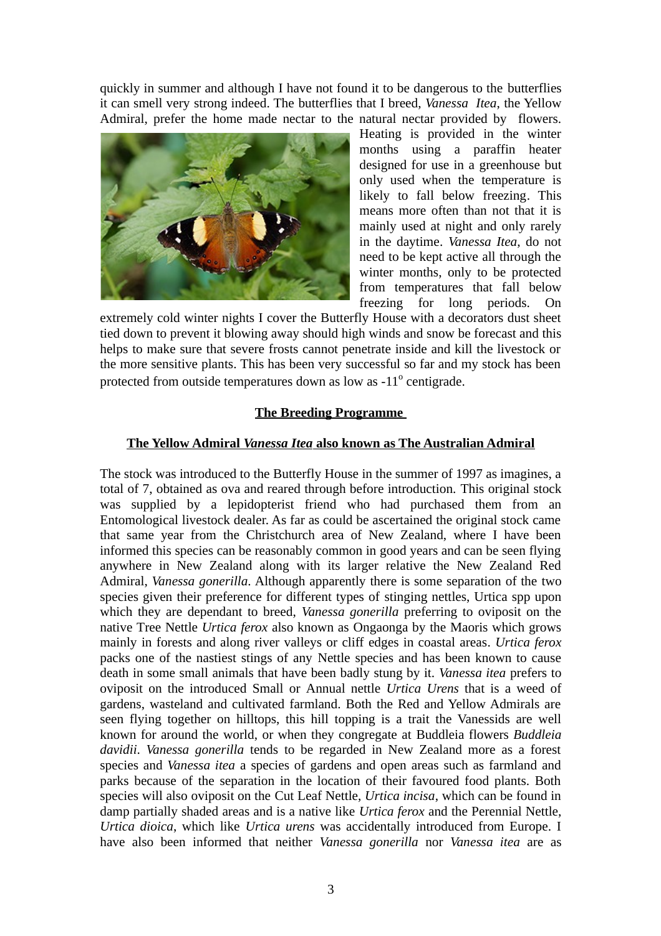quickly in summer and although I have not found it to be dangerous to the butterflies it can smell very strong indeed. The butterflies that I breed, *Vanessa Itea*, the Yellow Admiral, prefer the home made nectar to the natural nectar provided by flowers.



Heating is provided in the winter months using a paraffin heater designed for use in a greenhouse but only used when the temperature is likely to fall below freezing. This means more often than not that it is mainly used at night and only rarely in the daytime. *Vanessa Itea*, do not need to be kept active all through the winter months, only to be protected from temperatures that fall below freezing for long periods. On

extremely cold winter nights I cover the Butterfly House with a decorators dust sheet tied down to prevent it blowing away should high winds and snow be forecast and this helps to make sure that severe frosts cannot penetrate inside and kill the livestock or the more sensitive plants. This has been very successful so far and my stock has been protected from outside temperatures down as low as -11 $^{\rm o}$  centigrade.

## **The Breeding Programme**

## **The Yellow Admiral** *Vanessa Itea* **also known as The Australian Admiral**

The stock was introduced to the Butterfly House in the summer of 1997 as imagines, a total of 7, obtained as ova and reared through before introduction. This original stock was supplied by a lepidopterist friend who had purchased them from an Entomological livestock dealer. As far as could be ascertained the original stock came that same year from the Christchurch area of New Zealand, where I have been informed this species can be reasonably common in good years and can be seen flying anywhere in New Zealand along with its larger relative the New Zealand Red Admiral, *Vanessa gonerilla.* Although apparently there is some separation of the two species given their preference for different types of stinging nettles, Urtica spp upon which they are dependant to breed, *Vanessa gonerilla* preferring to oviposit on the native Tree Nettle *Urtica ferox* also known as Ongaonga by the Maoris which grows mainly in forests and along river valleys or cliff edges in coastal areas. *Urtica ferox* packs one of the nastiest stings of any Nettle species and has been known to cause death in some small animals that have been badly stung by it. *Vanessa itea* prefers to oviposit on the introduced Small or Annual nettle *Urtica Urens* that is a weed of gardens, wasteland and cultivated farmland. Both the Red and Yellow Admirals are seen flying together on hilltops, this hill topping is a trait the Vanessids are well known for around the world, or when they congregate at Buddleia flowers *Buddleia davidii*. *Vanessa gonerilla* tends to be regarded in New Zealand more as a forest species and *Vanessa itea* a species of gardens and open areas such as farmland and parks because of the separation in the location of their favoured food plants. Both species will also oviposit on the Cut Leaf Nettle, *Urtica incisa*, which can be found in damp partially shaded areas and is a native like *Urtica ferox* and the Perennial Nettle, *Urtica dioica*, which like *Urtica urens* was accidentally introduced from Europe. I have also been informed that neither *Vanessa gonerilla* nor *Vanessa itea* are as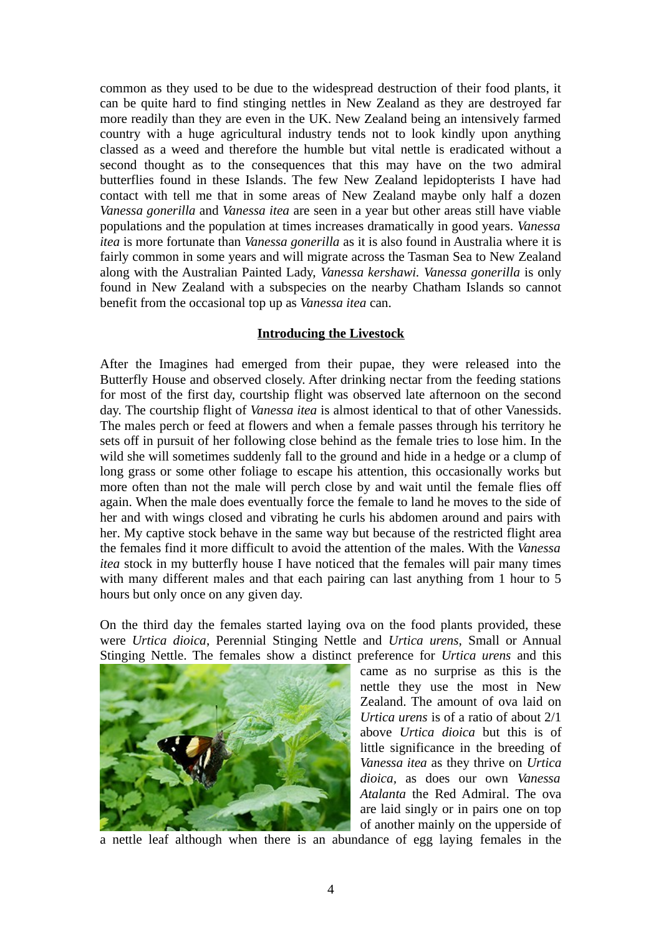common as they used to be due to the widespread destruction of their food plants, it can be quite hard to find stinging nettles in New Zealand as they are destroyed far more readily than they are even in the UK. New Zealand being an intensively farmed country with a huge agricultural industry tends not to look kindly upon anything classed as a weed and therefore the humble but vital nettle is eradicated without a second thought as to the consequences that this may have on the two admiral butterflies found in these Islands. The few New Zealand lepidopterists I have had contact with tell me that in some areas of New Zealand maybe only half a dozen *Vanessa gonerilla* and *Vanessa itea* are seen in a year but other areas still have viable populations and the population at times increases dramatically in good years. *Vanessa itea* is more fortunate than *Vanessa gonerilla* as it is also found in Australia where it is fairly common in some years and will migrate across the Tasman Sea to New Zealand along with the Australian Painted Lady, *Vanessa kershawi. Vanessa gonerilla* is only found in New Zealand with a subspecies on the nearby Chatham Islands so cannot benefit from the occasional top up as *Vanessa itea* can.

#### **Introducing the Livestock**

After the Imagines had emerged from their pupae, they were released into the Butterfly House and observed closely. After drinking nectar from the feeding stations for most of the first day, courtship flight was observed late afternoon on the second day. The courtship flight of *Vanessa itea* is almost identical to that of other Vanessids. The males perch or feed at flowers and when a female passes through his territory he sets off in pursuit of her following close behind as the female tries to lose him. In the wild she will sometimes suddenly fall to the ground and hide in a hedge or a clump of long grass or some other foliage to escape his attention, this occasionally works but more often than not the male will perch close by and wait until the female flies off again. When the male does eventually force the female to land he moves to the side of her and with wings closed and vibrating he curls his abdomen around and pairs with her. My captive stock behave in the same way but because of the restricted flight area the females find it more difficult to avoid the attention of the males. With the *Vanessa itea* stock in my butterfly house I have noticed that the females will pair many times with many different males and that each pairing can last anything from 1 hour to 5 hours but only once on any given day.

On the third day the females started laying ova on the food plants provided, these were *Urtica dioica*, Perennial Stinging Nettle and *Urtica urens*, Small or Annual Stinging Nettle. The females show a distinct preference for *Urtica urens* and this



came as no surprise as this is the nettle they use the most in New Zealand. The amount of ova laid on *Urtica urens* is of a ratio of about 2/1 above *Urtica dioica* but this is of little significance in the breeding of *Vanessa itea* as they thrive on *Urtica dioica,* as does our own *Vanessa Atalanta* the Red Admiral. The ova are laid singly or in pairs one on top of another mainly on the upperside of

a nettle leaf although when there is an abundance of egg laying females in the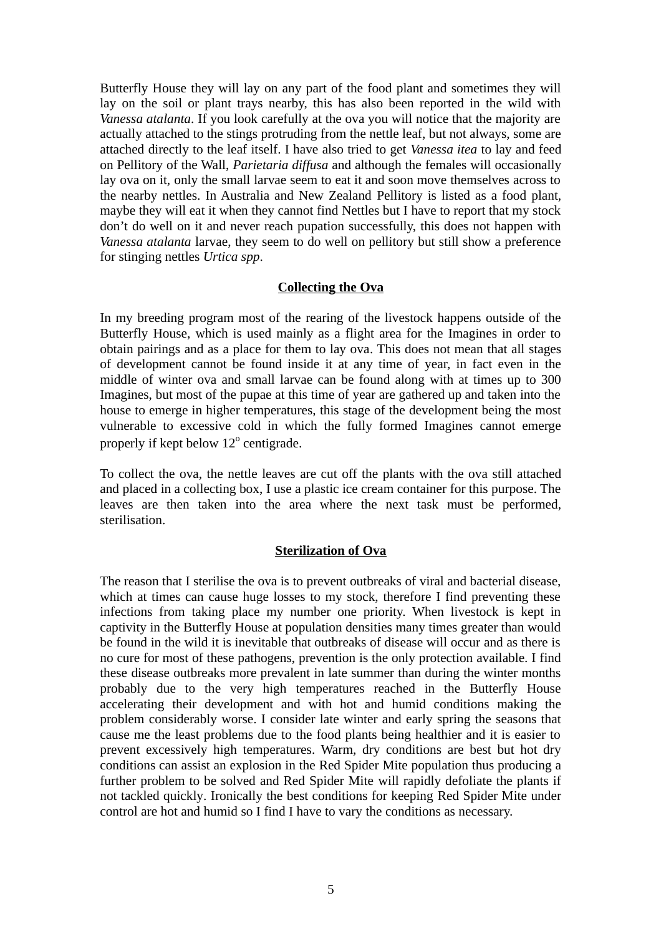Butterfly House they will lay on any part of the food plant and sometimes they will lay on the soil or plant trays nearby, this has also been reported in the wild with *Vanessa atalanta*. If you look carefully at the ova you will notice that the majority are actually attached to the stings protruding from the nettle leaf, but not always, some are attached directly to the leaf itself. I have also tried to get *Vanessa itea* to lay and feed on Pellitory of the Wall, *Parietaria diffusa* and although the females will occasionally lay ova on it, only the small larvae seem to eat it and soon move themselves across to the nearby nettles. In Australia and New Zealand Pellitory is listed as a food plant, maybe they will eat it when they cannot find Nettles but I have to report that my stock don't do well on it and never reach pupation successfully, this does not happen with *Vanessa atalanta* larvae, they seem to do well on pellitory but still show a preference for stinging nettles *Urtica spp*.

## **Collecting the Ova**

In my breeding program most of the rearing of the livestock happens outside of the Butterfly House, which is used mainly as a flight area for the Imagines in order to obtain pairings and as a place for them to lay ova. This does not mean that all stages of development cannot be found inside it at any time of year, in fact even in the middle of winter ova and small larvae can be found along with at times up to 300 Imagines, but most of the pupae at this time of year are gathered up and taken into the house to emerge in higher temperatures, this stage of the development being the most vulnerable to excessive cold in which the fully formed Imagines cannot emerge properly if kept below  $12^{\circ}$  centigrade.

To collect the ova, the nettle leaves are cut off the plants with the ova still attached and placed in a collecting box, I use a plastic ice cream container for this purpose. The leaves are then taken into the area where the next task must be performed, sterilisation.

## **Sterilization of Ova**

The reason that I sterilise the ova is to prevent outbreaks of viral and bacterial disease, which at times can cause huge losses to my stock, therefore I find preventing these infections from taking place my number one priority. When livestock is kept in captivity in the Butterfly House at population densities many times greater than would be found in the wild it is inevitable that outbreaks of disease will occur and as there is no cure for most of these pathogens, prevention is the only protection available. I find these disease outbreaks more prevalent in late summer than during the winter months probably due to the very high temperatures reached in the Butterfly House accelerating their development and with hot and humid conditions making the problem considerably worse. I consider late winter and early spring the seasons that cause me the least problems due to the food plants being healthier and it is easier to prevent excessively high temperatures. Warm, dry conditions are best but hot dry conditions can assist an explosion in the Red Spider Mite population thus producing a further problem to be solved and Red Spider Mite will rapidly defoliate the plants if not tackled quickly. Ironically the best conditions for keeping Red Spider Mite under control are hot and humid so I find I have to vary the conditions as necessary.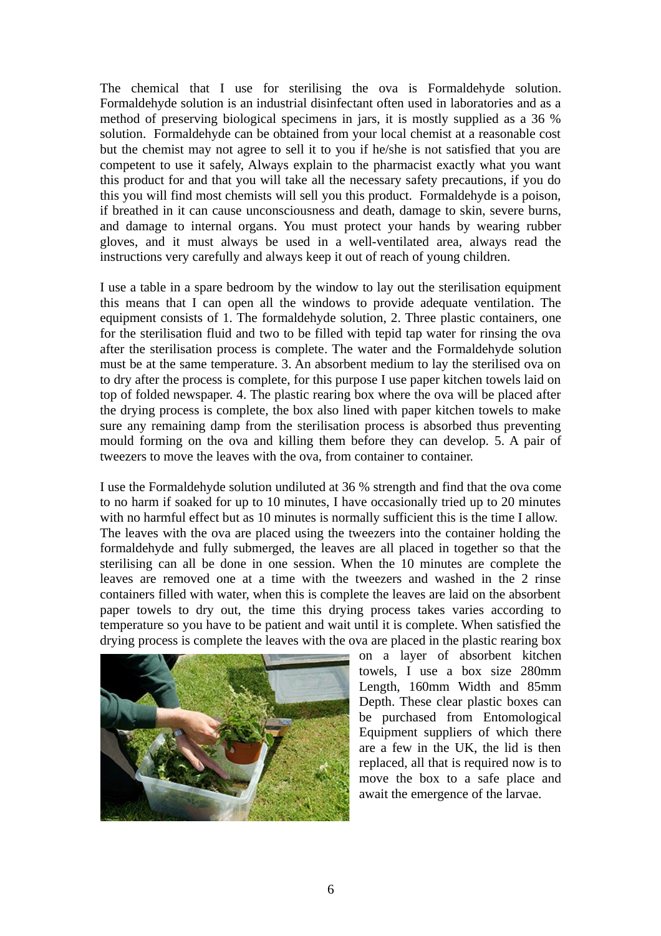The chemical that I use for sterilising the ova is Formaldehyde solution. Formaldehyde solution is an industrial disinfectant often used in laboratories and as a method of preserving biological specimens in jars, it is mostly supplied as a 36 % solution. Formaldehyde can be obtained from your local chemist at a reasonable cost but the chemist may not agree to sell it to you if he/she is not satisfied that you are competent to use it safely, Always explain to the pharmacist exactly what you want this product for and that you will take all the necessary safety precautions, if you do this you will find most chemists will sell you this product. Formaldehyde is a poison, if breathed in it can cause unconsciousness and death, damage to skin, severe burns, and damage to internal organs. You must protect your hands by wearing rubber gloves, and it must always be used in a well-ventilated area, always read the instructions very carefully and always keep it out of reach of young children.

I use a table in a spare bedroom by the window to lay out the sterilisation equipment this means that I can open all the windows to provide adequate ventilation. The equipment consists of 1. The formaldehyde solution, 2. Three plastic containers, one for the sterilisation fluid and two to be filled with tepid tap water for rinsing the ova after the sterilisation process is complete. The water and the Formaldehyde solution must be at the same temperature. 3. An absorbent medium to lay the sterilised ova on to dry after the process is complete, for this purpose I use paper kitchen towels laid on top of folded newspaper. 4. The plastic rearing box where the ova will be placed after the drying process is complete, the box also lined with paper kitchen towels to make sure any remaining damp from the sterilisation process is absorbed thus preventing mould forming on the ova and killing them before they can develop. 5. A pair of tweezers to move the leaves with the ova, from container to container.

I use the Formaldehyde solution undiluted at 36 % strength and find that the ova come to no harm if soaked for up to 10 minutes, I have occasionally tried up to 20 minutes with no harmful effect but as 10 minutes is normally sufficient this is the time I allow. The leaves with the ova are placed using the tweezers into the container holding the formaldehyde and fully submerged, the leaves are all placed in together so that the sterilising can all be done in one session. When the 10 minutes are complete the leaves are removed one at a time with the tweezers and washed in the 2 rinse containers filled with water, when this is complete the leaves are laid on the absorbent paper towels to dry out, the time this drying process takes varies according to temperature so you have to be patient and wait until it is complete. When satisfied the drying process is complete the leaves with the ova are placed in the plastic rearing box



on a layer of absorbent kitchen towels, I use a box size 280mm Length, 160mm Width and 85mm Depth. These clear plastic boxes can be purchased from Entomological Equipment suppliers of which there are a few in the UK, the lid is then replaced, all that is required now is to move the box to a safe place and await the emergence of the larvae.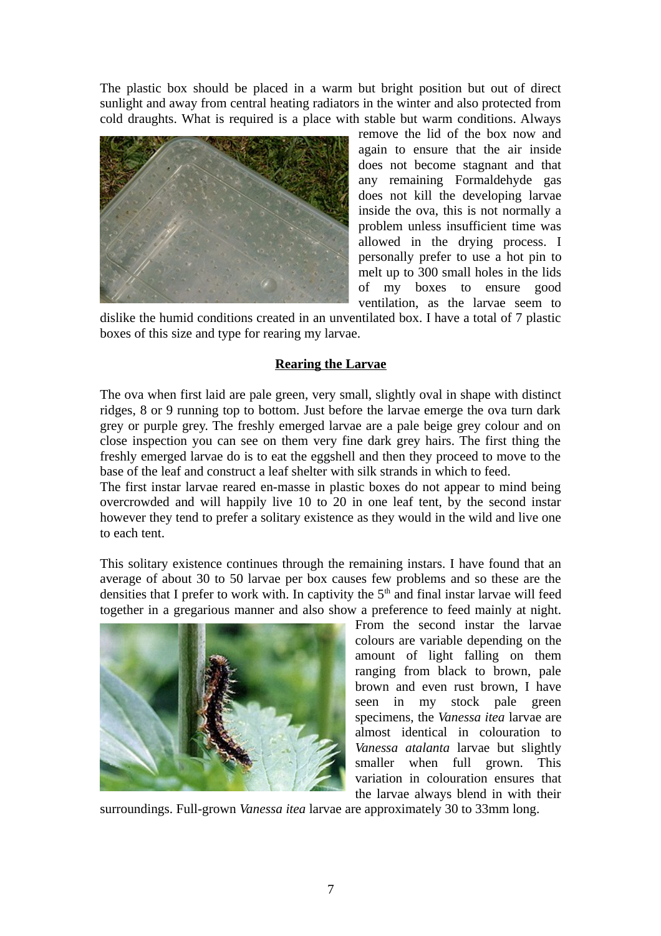The plastic box should be placed in a warm but bright position but out of direct sunlight and away from central heating radiators in the winter and also protected from cold draughts. What is required is a place with stable but warm conditions. Always



remove the lid of the box now and again to ensure that the air inside does not become stagnant and that any remaining Formaldehyde gas does not kill the developing larvae inside the ova, this is not normally a problem unless insufficient time was allowed in the drying process. I personally prefer to use a hot pin to melt up to 300 small holes in the lids of my boxes to ensure good ventilation, as the larvae seem to

dislike the humid conditions created in an unventilated box. I have a total of 7 plastic boxes of this size and type for rearing my larvae.

## **Rearing the Larvae**

The ova when first laid are pale green, very small, slightly oval in shape with distinct ridges, 8 or 9 running top to bottom. Just before the larvae emerge the ova turn dark grey or purple grey. The freshly emerged larvae are a pale beige grey colour and on close inspection you can see on them very fine dark grey hairs. The first thing the freshly emerged larvae do is to eat the eggshell and then they proceed to move to the base of the leaf and construct a leaf shelter with silk strands in which to feed.

The first instar larvae reared en-masse in plastic boxes do not appear to mind being overcrowded and will happily live 10 to 20 in one leaf tent, by the second instar however they tend to prefer a solitary existence as they would in the wild and live one to each tent.

This solitary existence continues through the remaining instars. I have found that an average of about 30 to 50 larvae per box causes few problems and so these are the densities that I prefer to work with. In captivity the  $5<sup>th</sup>$  and final instar larvae will feed together in a gregarious manner and also show a preference to feed mainly at night.



From the second instar the larvae colours are variable depending on the amount of light falling on them ranging from black to brown, pale brown and even rust brown, I have seen in my stock pale green specimens, the *Vanessa itea* larvae are almost identical in colouration to *Vanessa atalanta* larvae but slightly smaller when full grown. This variation in colouration ensures that the larvae always blend in with their

surroundings. Full-grown *Vanessa itea* larvae are approximately 30 to 33mm long.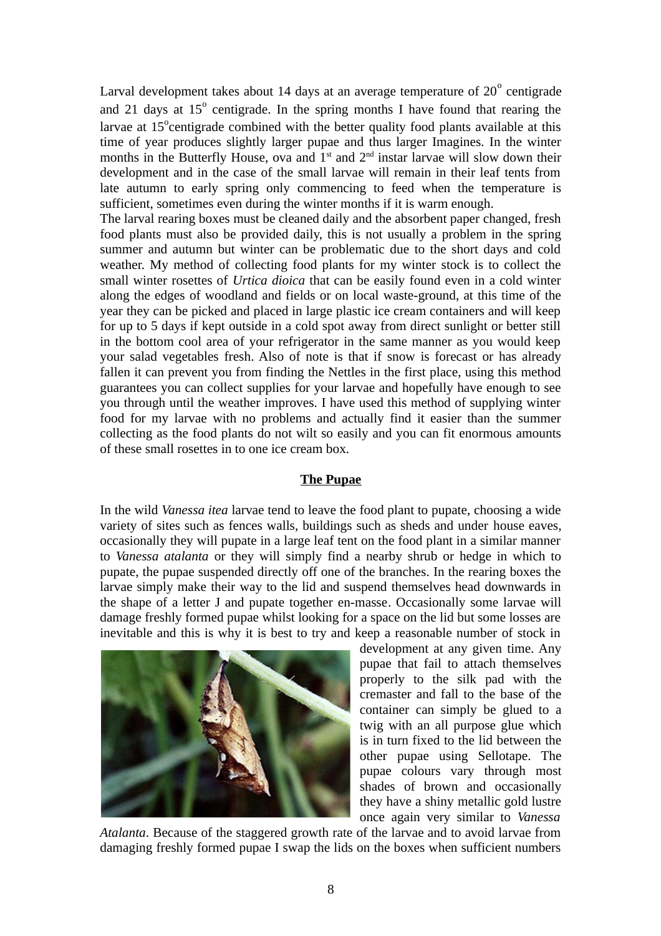Larval development takes about 14 days at an average temperature of 20 $^{\rm o}$  centigrade and 21 days at  $15^{\circ}$  centigrade. In the spring months I have found that rearing the larvae at  $15^{\circ}$ centigrade combined with the better quality food plants available at this time of year produces slightly larger pupae and thus larger Imagines. In the winter months in the Butterfly House, ova and  $1<sup>st</sup>$  and  $2<sup>nd</sup>$  instar larvae will slow down their development and in the case of the small larvae will remain in their leaf tents from late autumn to early spring only commencing to feed when the temperature is sufficient, sometimes even during the winter months if it is warm enough.

The larval rearing boxes must be cleaned daily and the absorbent paper changed, fresh food plants must also be provided daily, this is not usually a problem in the spring summer and autumn but winter can be problematic due to the short days and cold weather. My method of collecting food plants for my winter stock is to collect the small winter rosettes of *Urtica dioica* that can be easily found even in a cold winter along the edges of woodland and fields or on local waste-ground, at this time of the year they can be picked and placed in large plastic ice cream containers and will keep for up to 5 days if kept outside in a cold spot away from direct sunlight or better still in the bottom cool area of your refrigerator in the same manner as you would keep your salad vegetables fresh. Also of note is that if snow is forecast or has already fallen it can prevent you from finding the Nettles in the first place, using this method guarantees you can collect supplies for your larvae and hopefully have enough to see you through until the weather improves. I have used this method of supplying winter food for my larvae with no problems and actually find it easier than the summer collecting as the food plants do not wilt so easily and you can fit enormous amounts of these small rosettes in to one ice cream box.

## **The Pupae**

In the wild *Vanessa itea* larvae tend to leave the food plant to pupate, choosing a wide variety of sites such as fences walls, buildings such as sheds and under house eaves, occasionally they will pupate in a large leaf tent on the food plant in a similar manner to *Vanessa atalanta* or they will simply find a nearby shrub or hedge in which to pupate, the pupae suspended directly off one of the branches. In the rearing boxes the larvae simply make their way to the lid and suspend themselves head downwards in the shape of a letter J and pupate together en-masse. Occasionally some larvae will damage freshly formed pupae whilst looking for a space on the lid but some losses are inevitable and this is why it is best to try and keep a reasonable number of stock in



development at any given time. Any pupae that fail to attach themselves properly to the silk pad with the cremaster and fall to the base of the container can simply be glued to a twig with an all purpose glue which is in turn fixed to the lid between the other pupae using Sellotape. The pupae colours vary through most shades of brown and occasionally they have a shiny metallic gold lustre once again very similar to *Vanessa*

*Atalanta*. Because of the staggered growth rate of the larvae and to avoid larvae from damaging freshly formed pupae I swap the lids on the boxes when sufficient numbers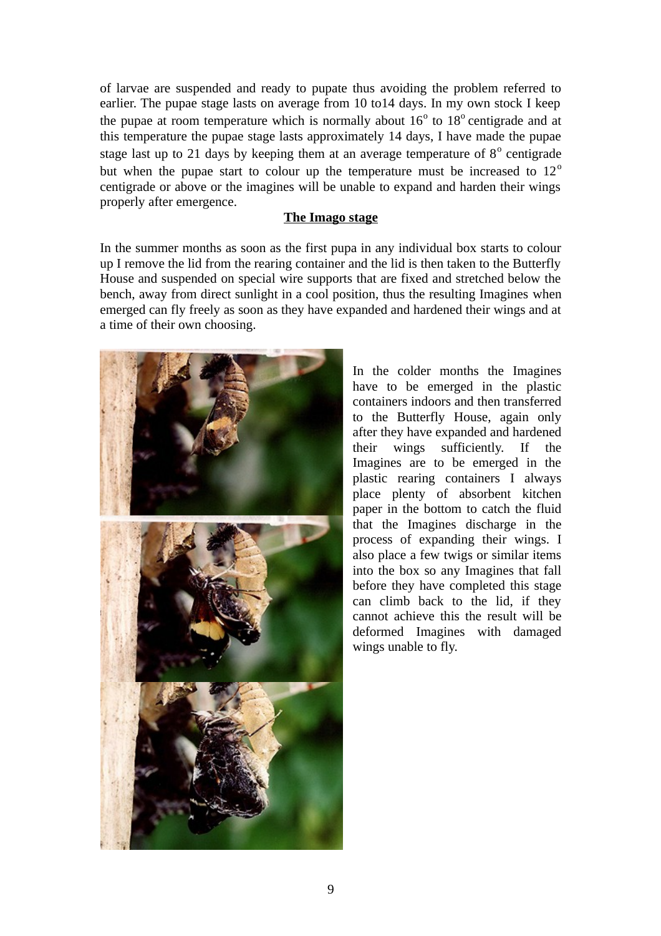of larvae are suspended and ready to pupate thus avoiding the problem referred to earlier. The pupae stage lasts on average from 10 to14 days. In my own stock I keep the pupae at room temperature which is normally about  $16^{\circ}$  to  $18^{\circ}$  centigrade and at this temperature the pupae stage lasts approximately 14 days, I have made the pupae stage last up to 21 days by keeping them at an average temperature of  $8^{\circ}$  centigrade but when the pupae start to colour up the temperature must be increased to  $12^{\circ}$ centigrade or above or the imagines will be unable to expand and harden their wings properly after emergence.

#### **The Imago stage**

In the summer months as soon as the first pupa in any individual box starts to colour up I remove the lid from the rearing container and the lid is then taken to the Butterfly House and suspended on special wire supports that are fixed and stretched below the bench, away from direct sunlight in a cool position, thus the resulting Imagines when emerged can fly freely as soon as they have expanded and hardened their wings and at a time of their own choosing.



In the colder months the Imagines have to be emerged in the plastic containers indoors and then transferred to the Butterfly House, again only after they have expanded and hardened their wings sufficiently. If the Imagines are to be emerged in the plastic rearing containers I always place plenty of absorbent kitchen paper in the bottom to catch the fluid that the Imagines discharge in the process of expanding their wings. I also place a few twigs or similar items into the box so any Imagines that fall before they have completed this stage can climb back to the lid, if they cannot achieve this the result will be deformed Imagines with damaged wings unable to fly.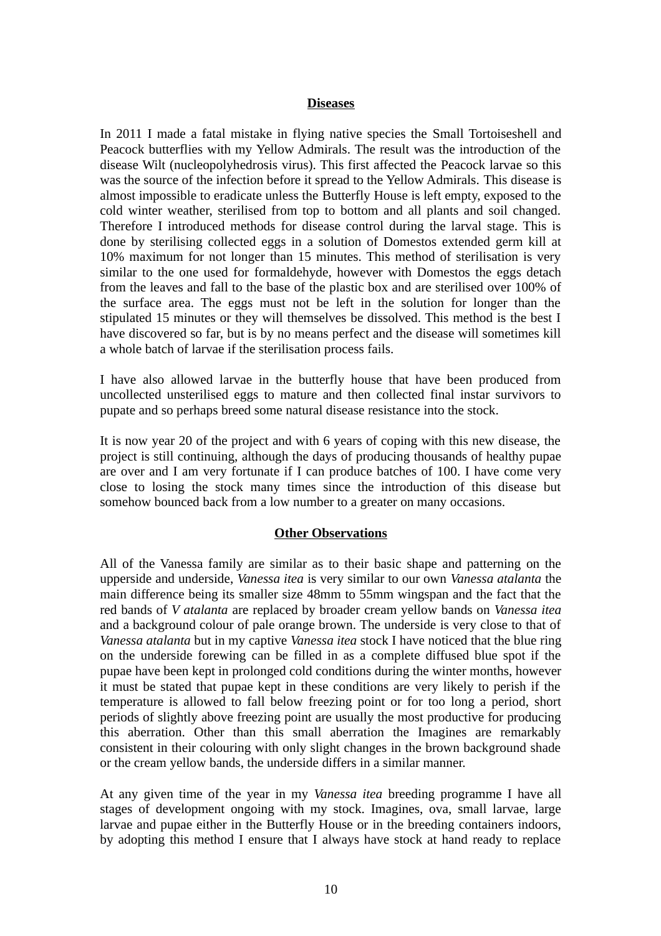#### **Diseases**

In 2011 I made a fatal mistake in flying native species the Small Tortoiseshell and Peacock butterflies with my Yellow Admirals. The result was the introduction of the disease Wilt (nucleopolyhedrosis virus). This first affected the Peacock larvae so this was the source of the infection before it spread to the Yellow Admirals. This disease is almost impossible to eradicate unless the Butterfly House is left empty, exposed to the cold winter weather, sterilised from top to bottom and all plants and soil changed. Therefore I introduced methods for disease control during the larval stage. This is done by sterilising collected eggs in a solution of Domestos extended germ kill at 10% maximum for not longer than 15 minutes. This method of sterilisation is very similar to the one used for formaldehyde, however with Domestos the eggs detach from the leaves and fall to the base of the plastic box and are sterilised over 100% of the surface area. The eggs must not be left in the solution for longer than the stipulated 15 minutes or they will themselves be dissolved. This method is the best I have discovered so far, but is by no means perfect and the disease will sometimes kill a whole batch of larvae if the sterilisation process fails.

I have also allowed larvae in the butterfly house that have been produced from uncollected unsterilised eggs to mature and then collected final instar survivors to pupate and so perhaps breed some natural disease resistance into the stock.

It is now year 20 of the project and with 6 years of coping with this new disease, the project is still continuing, although the days of producing thousands of healthy pupae are over and I am very fortunate if I can produce batches of 100. I have come very close to losing the stock many times since the introduction of this disease but somehow bounced back from a low number to a greater on many occasions.

## **Other Observations**

All of the Vanessa family are similar as to their basic shape and patterning on the upperside and underside, *Vanessa itea* is very similar to our own *Vanessa atalanta* the main difference being its smaller size 48mm to 55mm wingspan and the fact that the red bands of *V atalanta* are replaced by broader cream yellow bands on *Vanessa itea* and a background colour of pale orange brown. The underside is very close to that of *Vanessa atalanta* but in my captive *Vanessa itea* stock I have noticed that the blue ring on the underside forewing can be filled in as a complete diffused blue spot if the pupae have been kept in prolonged cold conditions during the winter months, however it must be stated that pupae kept in these conditions are very likely to perish if the temperature is allowed to fall below freezing point or for too long a period, short periods of slightly above freezing point are usually the most productive for producing this aberration. Other than this small aberration the Imagines are remarkably consistent in their colouring with only slight changes in the brown background shade or the cream yellow bands, the underside differs in a similar manner.

At any given time of the year in my *Vanessa itea* breeding programme I have all stages of development ongoing with my stock. Imagines, ova, small larvae, large larvae and pupae either in the Butterfly House or in the breeding containers indoors, by adopting this method I ensure that I always have stock at hand ready to replace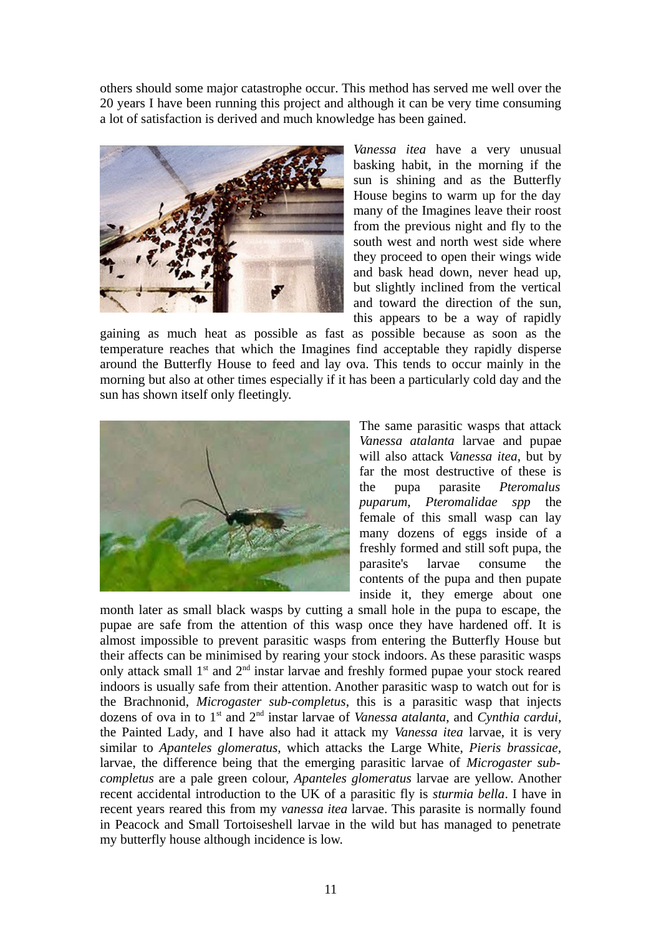others should some major catastrophe occur. This method has served me well over the 20 years I have been running this project and although it can be very time consuming a lot of satisfaction is derived and much knowledge has been gained.



*Vanessa itea* have a very unusual basking habit, in the morning if the sun is shining and as the Butterfly House begins to warm up for the day many of the Imagines leave their roost from the previous night and fly to the south west and north west side where they proceed to open their wings wide and bask head down, never head up, but slightly inclined from the vertical and toward the direction of the sun, this appears to be a way of rapidly

gaining as much heat as possible as fast as possible because as soon as the temperature reaches that which the Imagines find acceptable they rapidly disperse around the Butterfly House to feed and lay ova. This tends to occur mainly in the morning but also at other times especially if it has been a particularly cold day and the sun has shown itself only fleetingly.



The same parasitic wasps that attack *Vanessa atalanta* larvae and pupae will also attack *Vanessa itea*, but by far the most destructive of these is the pupa parasite *Pteromalus puparum*, *Pteromalidae spp* the female of this small wasp can lay many dozens of eggs inside of a freshly formed and still soft pupa, the parasite's larvae consume the contents of the pupa and then pupate inside it, they emerge about one

month later as small black wasps by cutting a small hole in the pupa to escape, the pupae are safe from the attention of this wasp once they have hardened off. It is almost impossible to prevent parasitic wasps from entering the Butterfly House but their affects can be minimised by rearing your stock indoors. As these parasitic wasps only attack small  $1<sup>st</sup>$  and  $2<sup>nd</sup>$  instar larvae and freshly formed pupae your stock reared indoors is usually safe from their attention. Another parasitic wasp to watch out for is the Brachnonid, *Microgaster sub-completus*, this is a parasitic wasp that injects dozens of ova in to 1st and 2nd instar larvae of *Vanessa atalanta*, and *Cynthia cardui*, the Painted Lady, and I have also had it attack my *Vanessa itea* larvae, it is very similar to *Apanteles glomeratus,* which attacks the Large White, *Pieris brassicae,* larvae, the difference being that the emerging parasitic larvae of *Microgaster subcompletus* are a pale green colour, *Apanteles glomeratus* larvae are yellow. Another recent accidental introduction to the UK of a parasitic fly is *sturmia bella*. I have in recent years reared this from my *vanessa itea* larvae. This parasite is normally found in Peacock and Small Tortoiseshell larvae in the wild but has managed to penetrate my butterfly house although incidence is low.